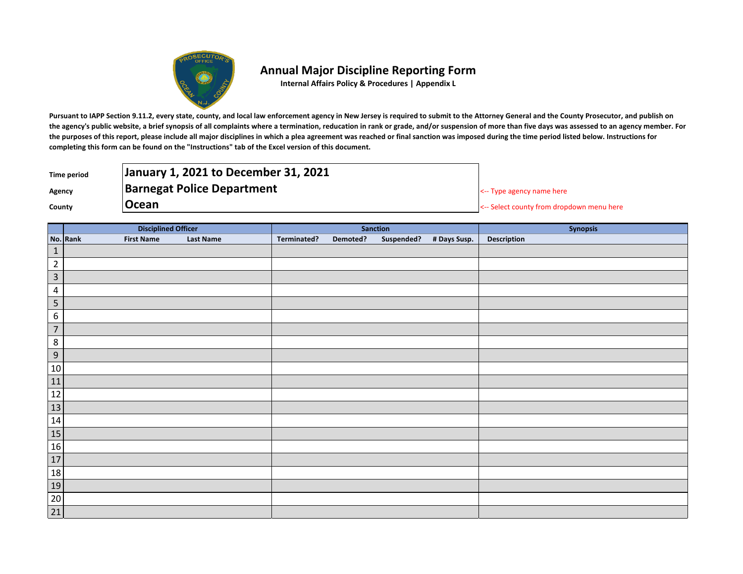

## **Annual Major Discipline Reporting Form**

**Internal Affairs Policy & Procedures | Appendix L**

Pursuant to IAPP Section 9.11.2, every state, county, and local law enforcement agency in New Jersey is required to submit to the Attorney General and the County Prosecutor, and publish on **the agency's public website, a brief synopsis of all complaints where a termination, reducation in rank or grade, and/or suspension of more than five days was assessed to an agency member. For the purposes of this report, please include all major disciplines in which a plea agreement was reached or final sanction was imposed during the time period listed below. Instructions for completing this form can be found on the "Instructions" tab of the Excel version of this document.**

| <b>Time period</b> | January 1, 2021 to December 31, 2021 |                                           |
|--------------------|--------------------------------------|-------------------------------------------|
| Agency             | <b>Barnegat Police Department</b>    | $\leq$ - Type agency name here            |
| County             | <b>Ocean</b>                         | <-- Select county from dropdown menu here |

|                                                                                                              | <b>Disciplined Officer</b>    |                  | <b>Sanction</b> |          |  |                         | Synopsis    |
|--------------------------------------------------------------------------------------------------------------|-------------------------------|------------------|-----------------|----------|--|-------------------------|-------------|
|                                                                                                              | No. Rank<br><b>First Name</b> | <b>Last Name</b> | Terminated?     | Demoted? |  | Suspended? # Days Susp. | Description |
| $\mathbf 1$                                                                                                  |                               |                  |                 |          |  |                         |             |
| $\overline{2}$                                                                                               |                               |                  |                 |          |  |                         |             |
| $\overline{\mathbf{3}}$                                                                                      |                               |                  |                 |          |  |                         |             |
| $\overline{4}$                                                                                               |                               |                  |                 |          |  |                         |             |
| $\overline{5}$                                                                                               |                               |                  |                 |          |  |                         |             |
| $\,6\,$                                                                                                      |                               |                  |                 |          |  |                         |             |
| $\overline{7}$                                                                                               |                               |                  |                 |          |  |                         |             |
| $\,8\,$                                                                                                      |                               |                  |                 |          |  |                         |             |
| $\overline{9}$                                                                                               |                               |                  |                 |          |  |                         |             |
|                                                                                                              |                               |                  |                 |          |  |                         |             |
|                                                                                                              |                               |                  |                 |          |  |                         |             |
| $\begin{array}{r} 10 \\ \hline 11 \\ \hline 12 \\ \hline 13 \\ \hline 14 \\ \hline 15 \\ \hline \end{array}$ |                               |                  |                 |          |  |                         |             |
|                                                                                                              |                               |                  |                 |          |  |                         |             |
|                                                                                                              |                               |                  |                 |          |  |                         |             |
|                                                                                                              |                               |                  |                 |          |  |                         |             |
| <b>16</b>                                                                                                    |                               |                  |                 |          |  |                         |             |
| $\overline{17}$                                                                                              |                               |                  |                 |          |  |                         |             |
|                                                                                                              |                               |                  |                 |          |  |                         |             |
| $\begin{array}{r} 18 \\ 19 \\ 20 \\ 21 \end{array}$                                                          |                               |                  |                 |          |  |                         |             |
|                                                                                                              |                               |                  |                 |          |  |                         |             |
|                                                                                                              |                               |                  |                 |          |  |                         |             |